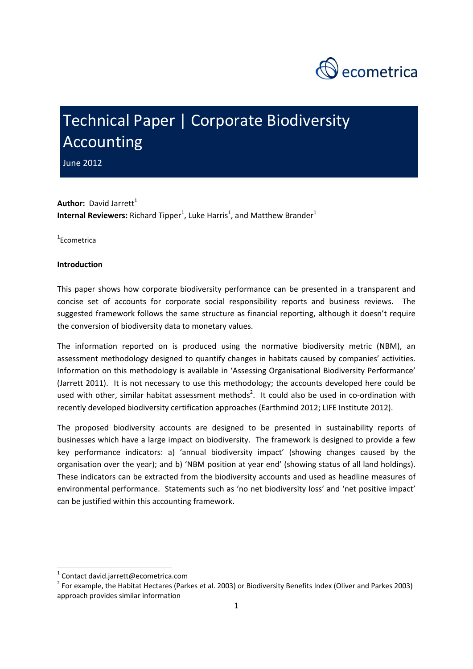

# Technical Paper | Corporate Biodiversity Accounting

June 2012

**Author:** David Jarrett<sup>1</sup> **Internal Reviewers:** Richard Tipper<sup>1</sup>, Luke Harris<sup>1</sup>, and Matthew Brander<sup>1</sup>

1 Ecometrica

# **Introduction**

This paper shows how corporate biodiversity performance can be presented in a transparent and concise set of accounts for corporate social responsibility reports and business reviews. The suggested framework follows the same structure as financial reporting, although it doesn't require the conversion of biodiversity data to monetary values.

The information reported on is produced using the normative biodiversity metric (NBM), an assessment methodology designed to quantify changes in habitats caused by companies' activities. Information on this methodology is available in 'Assessing Organisational Biodiversity Performance' (Jarrett 2011). It is not necessary to use this methodology; the accounts developed here could be used with other, similar habitat assessment methods<sup>2</sup>. It could also be used in co-ordination with recently developed biodiversity certification approaches (Earthmind 2012; LIFE Institute 2012).

The proposed biodiversity accounts are designed to be presented in sustainability reports of businesses which have a large impact on biodiversity. The framework is designed to provide a few key performance indicators: a) 'annual biodiversity impact' (showing changes caused by the organisation over the year); and b) 'NBM position at year end' (showing status of all land holdings). These indicators can be extracted from the biodiversity accounts and used as headline measures of environmental performance. Statements such as 'no net biodiversity loss' and 'net positive impact' can be justified within this accounting framework.

<sup>&</sup>lt;sup>1</sup> Contact david.jarrett@ecometrica.com<br><sup>2</sup> For example, the Habitat Hectares (Parkes et al. 2003) or Biodiversity Benefits Index (Oliver and Parkes 2003) approach provides similar information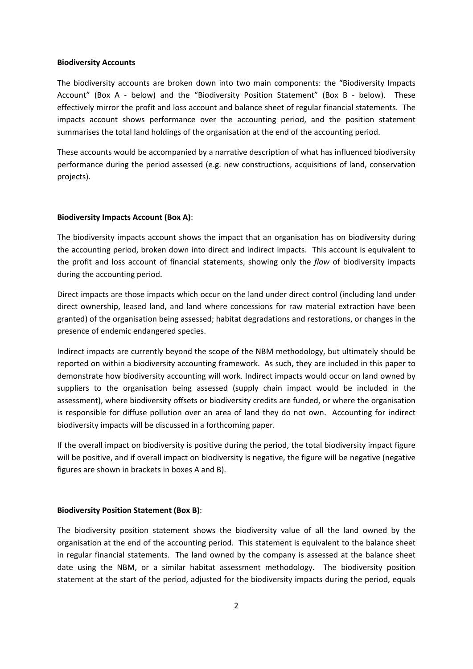#### **Biodiversity Accounts**

The biodiversity accounts are broken down into two main components: the "Biodiversity Impacts Account" (Box A - below) and the "Biodiversity Position Statement" (Box B - below). These effectively mirror the profit and loss account and balance sheet of regular financial statements. The impacts account shows performance over the accounting period, and the position statement summarises the total land holdings of the organisation at the end of the accounting period.

These accounts would be accompanied by a narrative description of what has influenced biodiversity performance during the period assessed (e.g. new constructions, acquisitions of land, conservation projects).

## **Biodiversity Impacts Account (Box A)**:

The biodiversity impacts account shows the impact that an organisation has on biodiversity during the accounting period, broken down into direct and indirect impacts. This account is equivalent to the profit and loss account of financial statements, showing only the *flow* of biodiversity impacts during the accounting period.

Direct impacts are those impacts which occur on the land under direct control (including land under direct ownership, leased land, and land where concessions for raw material extraction have been granted) of the organisation being assessed; habitat degradations and restorations, or changes in the presence of endemic endangered species.

Indirect impacts are currently beyond the scope of the NBM methodology, but ultimately should be reported on within a biodiversity accounting framework. As such, they are included in this paper to demonstrate how biodiversity accounting will work. Indirect impacts would occur on land owned by suppliers to the organisation being assessed (supply chain impact would be included in the assessment), where biodiversity offsets or biodiversity credits are funded, or where the organisation is responsible for diffuse pollution over an area of land they do not own. Accounting for indirect biodiversity impacts will be discussed in a forthcoming paper.

If the overall impact on biodiversity is positive during the period, the total biodiversity impact figure will be positive, and if overall impact on biodiversity is negative, the figure will be negative (negative figures are shown in brackets in boxes A and B).

#### **Biodiversity Position Statement (Box B)**:

The biodiversity position statement shows the biodiversity value of all the land owned by the organisation at the end of the accounting period. This statement is equivalent to the balance sheet in regular financial statements. The land owned by the company is assessed at the balance sheet date using the NBM, or a similar habitat assessment methodology. The biodiversity position statement at the start of the period, adjusted for the biodiversity impacts during the period, equals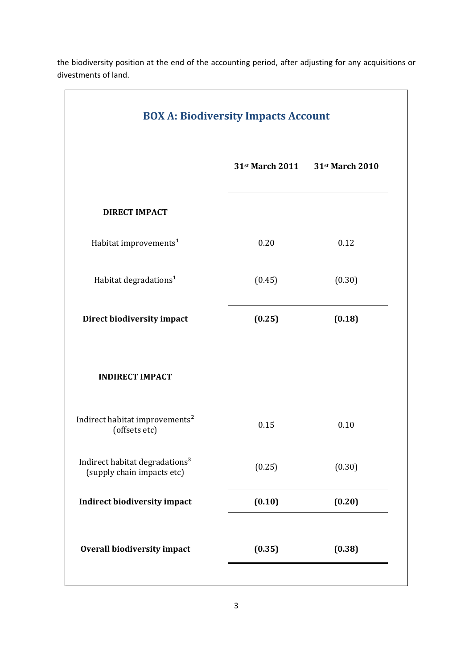| <b>BOX A: Biodiversity Impacts Account</b>                               |        |                                 |
|--------------------------------------------------------------------------|--------|---------------------------------|
|                                                                          |        | 31st March 2011 31st March 2010 |
| <b>DIRECT IMPACT</b>                                                     |        |                                 |
| Habitat improvements <sup>1</sup>                                        | 0.20   | 0.12                            |
| Habitat degradations <sup>1</sup>                                        | (0.45) | (0.30)                          |
| Direct biodiversity impact                                               | (0.25) | (0.18)                          |
| <b>INDIRECT IMPACT</b>                                                   |        |                                 |
| Indirect habitat improvements <sup>2</sup><br>(offsets etc)              | 0.15   | 0.10                            |
| Indirect habitat degradations <sup>3</sup><br>(supply chain impacts etc) | (0.25) | (0.30)                          |
| <b>Indirect biodiversity impact</b>                                      | (0.10) | (0.20)                          |
| <b>Overall biodiversity impact</b>                                       | (0.35) | (0.38)                          |

the biodiversity position at the end of the accounting period, after adjusting for any acquisitions or divestments of land.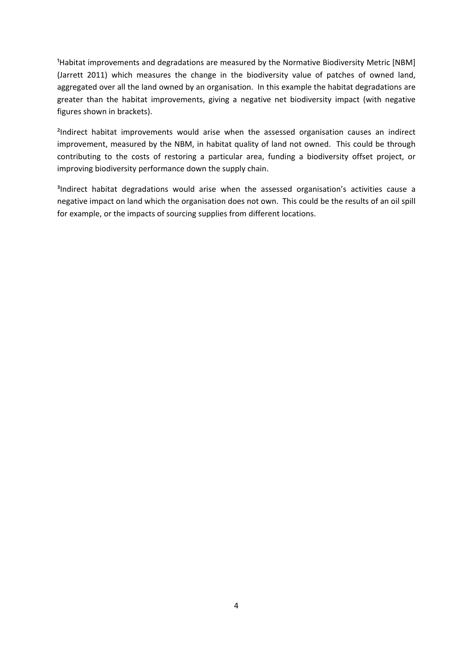Habitat improvements and degradations are measured by the Normative Biodiversity Metric [NBM] (Jarrett 2011) which measures the change in the biodiversity value of patches of owned land, aggregated over all the land owned by an organisation. In this example the habitat degradations are greater than the habitat improvements, giving a negative net biodiversity impact (with negative figures shown in brackets).

<sup>2</sup>Indirect habitat improvements would arise when the assessed organisation causes an indirect improvement, measured by the NBM, in habitat quality of land not owned. This could be through contributing to the costs of restoring a particular area, funding a biodiversity offset project, or improving biodiversity performance down the supply chain.

<sup>3</sup>Indirect habitat degradations would arise when the assessed organisation's activities cause a negative impact on land which the organisation does not own. This could be the results of an oil spill for example, or the impacts of sourcing supplies from different locations.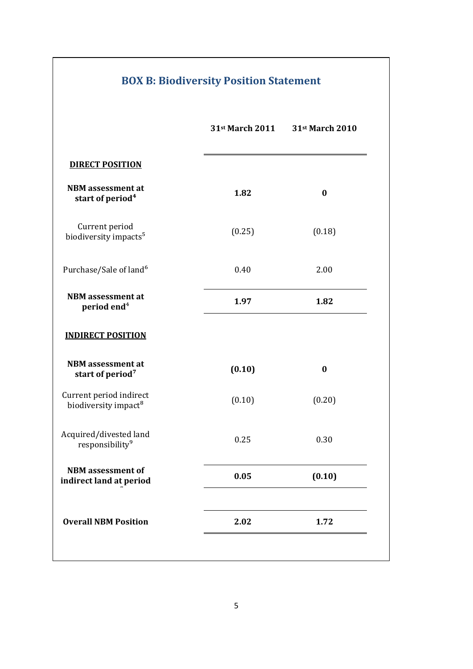|                                                             | 31st March 2011 | 31st March 2010 |  |
|-------------------------------------------------------------|-----------------|-----------------|--|
| <b>DIRECT POSITION</b>                                      |                 |                 |  |
| <b>NBM</b> assessment at<br>start of period <sup>4</sup>    | 1.82            | $\bf{0}$        |  |
| Current period<br>biodiversity impacts <sup>5</sup>         | (0.25)          | (0.18)          |  |
| Purchase/Sale of land <sup>6</sup>                          | 0.40            | 2.00            |  |
| <b>NBM</b> assessment at<br>period end <sup>4</sup>         | 1.97            | 1.82            |  |
| <b>INDIRECT POSITION</b>                                    |                 |                 |  |
| <b>NBM</b> assessment at<br>start of period <sup>7</sup>    | (0.10)          | $\bf{0}$        |  |
| Current period indirect<br>biodiversity impact <sup>8</sup> | (0.10)          | (0.20)          |  |
| Acquired/divested land<br>responsibility <sup>9</sup>       | 0.25            | 0.30            |  |
| <b>NBM</b> assessment of<br>indirect land at period         | 0.05            | (0.10)          |  |
| <b>Overall NBM Position</b>                                 | 2.02            | 1.72            |  |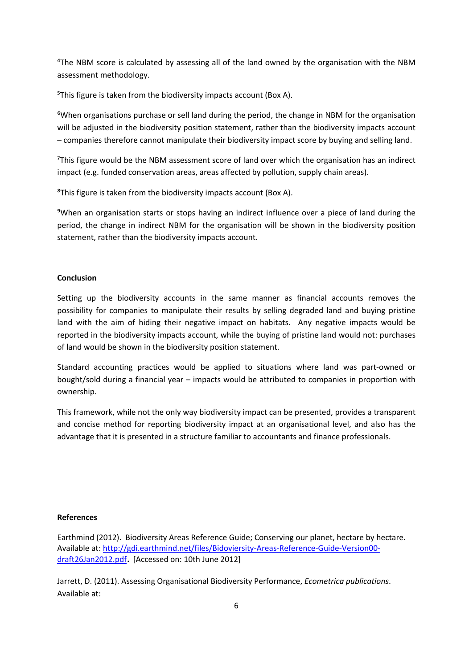⁴The NBM score is calculated by assessing all of the land owned by the organisation with the NBM assessment methodology.

<sup>5</sup>This figure is taken from the biodiversity impacts account (Box A).

⁶When organisations purchase or sell land during the period, the change in NBM for the organisation will be adjusted in the biodiversity position statement, rather than the biodiversity impacts account – companies therefore cannot manipulate their biodiversity impact score by buying and selling land.

⁷This figure would be the NBM assessment score of land over which the organisation has an indirect impact (e.g. funded conservation areas, areas affected by pollution, supply chain areas).

⁸This figure is taken from the biodiversity impacts account (Box A).

⁹When an organisation starts or stops having an indirect influence over a piece of land during the period, the change in indirect NBM for the organisation will be shown in the biodiversity position statement, rather than the biodiversity impacts account.

## **Conclusion**

Setting up the biodiversity accounts in the same manner as financial accounts removes the possibility for companies to manipulate their results by selling degraded land and buying pristine land with the aim of hiding their negative impact on habitats. Any negative impacts would be reported in the biodiversity impacts account, while the buying of pristine land would not: purchases of land would be shown in the biodiversity position statement.

Standard accounting practices would be applied to situations where land was part‐owned or bought/sold during a financial year – impacts would be attributed to companies in proportion with ownership.

This framework, while not the only way biodiversity impact can be presented, provides a transparent and concise method for reporting biodiversity impact at an organisational level, and also has the advantage that it is presented in a structure familiar to accountants and finance professionals.

## **References**

Earthmind (2012). Biodiversity Areas Reference Guide; Conserving our planet, hectare by hectare. Available at: http://gdi.earthmind.net/files/Bidoviersity‐Areas‐Reference‐Guide‐Version00‐ draft26Jan2012.pdf. [Accessed on: 10th June 2012]

Jarrett, D. (2011). Assessing Organisational Biodiversity Performance, *Ecometrica publications*. Available at: